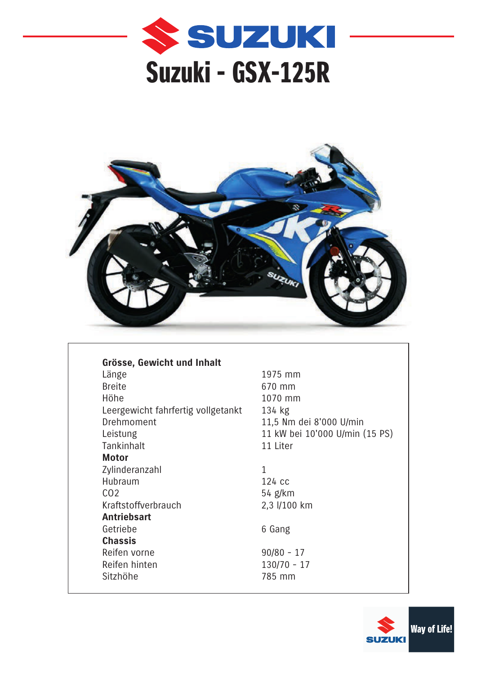



| Grösse, Gewicht und Inhalt         |   |
|------------------------------------|---|
| Länge                              | 1 |
| <b>Breite</b>                      | 6 |
| Höhe                               | 1 |
| Leergewicht fahrfertig vollgetankt | 1 |
| Drehmoment                         | 1 |
| Leistung                           | 1 |
| Tankinhalt                         | 1 |
| Motor                              |   |
| Zylinderanzahl                     | 1 |
| Hubraum                            | 1 |
| CO <sub>2</sub>                    | 5 |
| Kraftstoffverbrauch                | 2 |
| <b>Antriebsart</b>                 |   |
| Getriebe                           | 6 |
| <b>Chassis</b>                     |   |
| Reifen vorne                       | 9 |
| Reifen hinten                      | 1 |
| Sitzhöhe                           | 7 |

1975 mm 670 mm 1070 mm  $134$  kg 11,5 Nm dei 8'000 U/min 11 kW bei 10'000 U/min (15 PS) 11 Liter

124 cc 54 g/km 2,3 l/100 km

6 Gang

 $90/80 - 17$  $130/70 - 17$ 785 mm

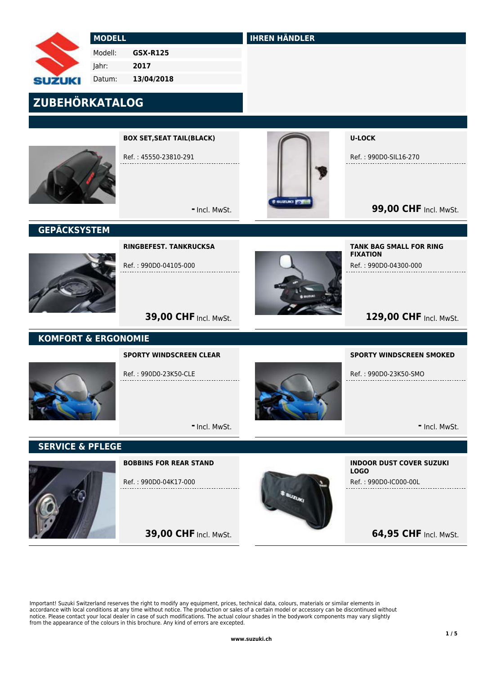# **JZUKI**

 MODELL Modell: GSX-R125

 Jahr: 2017

 Datum: 13/04/2018

# ZUBEHÖRKATALOG



BOX SET,SEAT TAIL(BLACK)

Ref. : 45550-23810-291

- Incl. MwSt.



IHREN HÄNDLER

U-LOCK

Ref. : 990D0-SIL16-270

**99,00 CHF Incl. MwSt.** 

## **GEPÄCKSYSTEM**



RINGBEFEST. TANKRUCKSA

Ref. : 990D0-04105-000



FIXATION Ref. : 990D0-04300-000

TANK BAG SMALL FOR RING

# 129,00 CHF Incl. MwSt.

## KOMFORT & ERGONOMIE

#### SPORTY WINDSCREEN CLEAR

**39,00 CHF Incl. MwSt.** 

Ref. : 990D0-23K50-CLE



SPORTY WINDSCREEN SMOKED

Ref. : 990D0-23K50-SMO

- Incl. MwSt.

## SERVICE & PFLEGE



BOBBINS FOR REAR STAND

Ref. : 990D0-04K17-000

**39,00 CHF Incl. MwSt.** 

- Incl. MwSt.



INDOOR DUST COVER SUZUKI LOGO Ref. : 990D0-IC000-00L

## **64,95 CHF Incl. MwSt.**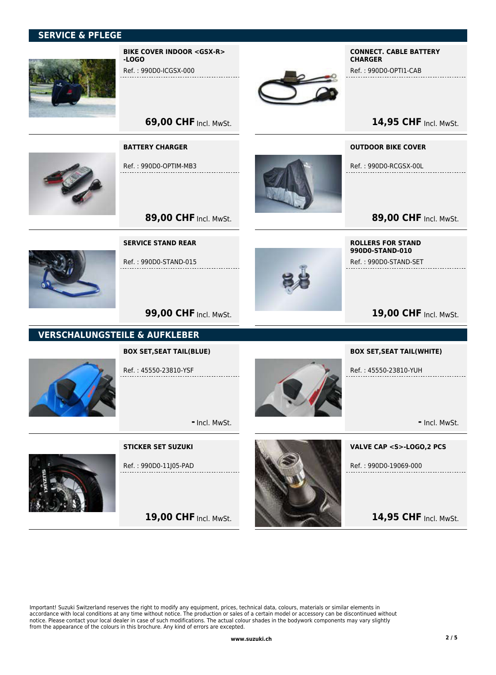#### SERVICE & PFLEGE



BIKE COVER INDOOR <GSX-R> -LOGO

Ref. : 990D0-ICGSX-000



#### CONNECT. CABLE BATTERY **CHARGER**

Ref. : 990D0-OPTI1-CAB

14,95 CHF Incl. MwSt.

**69,00 CHF Incl. MwSt.** 

#### BATTERY CHARGER

Ref. : 990D0-OPTIM-MB3

OUTDOOR BIKE COVER

Ref. : 990D0-RCGSX-00L

89,00 CHF Incl. MwSt.

SERVICE STAND REAR

Ref. : 990D0-STAND-015

89,00 CHF Incl. MwSt.



ROLLERS FOR STAND 990D0-STAND-010 Ref. : 990D0-STAND-SET

BOX SET,SEAT TAIL(WHITE)

Ref. : 45550-23810-YUH

## 19,00 CHF Incl. MwSt.

**99,00 CHF Incl. MwSt.** 

## VERSCHALUNGSTEILE & AUFKLEBER

#### BOX SET,SEAT TAIL(BLUE)



Ref. : 45550-23810-YSF

- Incl. MwSt.

## STICKER SET SUZUKI



Ref. : 990D0-11J05-PAD

19,00 CHF Incl. MwSt.



VALVE CAP <S>-LOGO,2 PCS

- Incl. MwSt.

Ref. : 990D0-19069-000

14,95 CHF Incl. MwSt.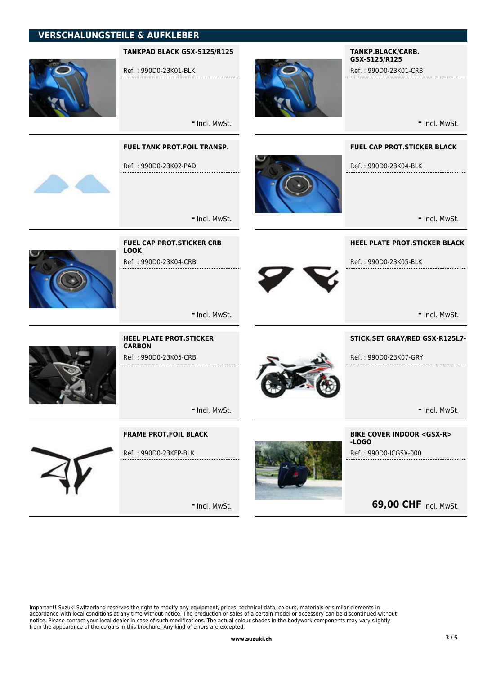## VERSCHALUNGSTEILE & AUFKLEBER



#### TANKPAD BLACK GSX-S125/R125

Ref. : 990D0-23K01-BLK



#### TANKP.BLACK/CARB. GSX-S125/R125

Ref. : 990D0-23K01-CRB

- Incl. MwSt.

- Incl. MwSt.

- Incl. MwSt.

- Incl. MwSt.

#### FUEL TANK PROT.FOIL TRANSP.

FUEL CAP PROT.STICKER CRB

Ref. : 990D0-23K04-CRB

LOOK

**CARBON** 

Ref. : 990D0-23K02-PAD



FUEL CAP PROT.STICKER BLACK

Ref. : 990D0-23K04-BLK

- Incl. MwSt.

#### HEEL PLATE PROT.STICKER BLACK

Ref. : 990D0-23K05-BLK . . . . . . . . . . . . . . .



- Incl. MwSt.

#### STICK.SET GRAY/RED GSX-R125L7-

Ref. : 990D0-23K07-GRY



- Incl. MwSt.



- Incl. MwSt.

#### FRAME PROT.FOIL BLACK

HEEL PLATE PROT.STICKER

Ref. : 990D0-23K05-CRB



Ref. : 990D0-23KFP-BLK

- Incl. MwSt.



BIKE COVER INDOOR <GSX-R> -LOGO Ref. : 990D0-ICGSX-000

**69,00 CHF Incl. MwSt.**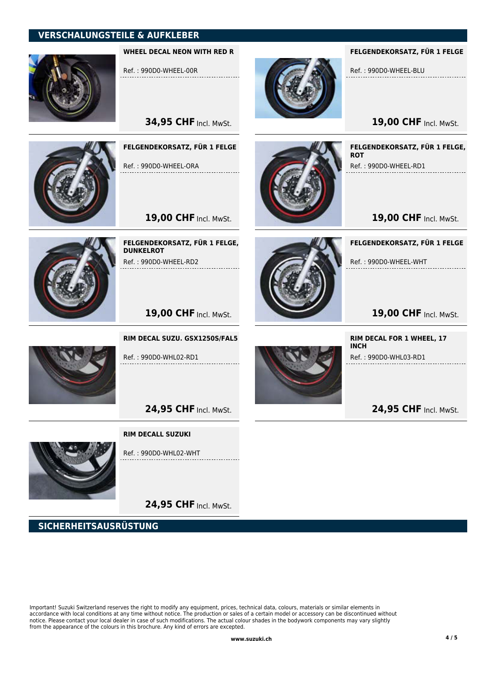## VERSCHALUNGSTEILE & AUFKLEBER



WHEEL DECAL NEON WITH RED R

Ref. : 990D0-WHEEL-00R

**34,95 CHF Incl. MwSt.** 



FELGENDEKORSATZ, FÜR 1 FELGE

Ref. : 990D0-WHEEL-ORA

19,00 CHF Incl. MwSt.



FELGENDEKORSATZ, FÜR 1 FELGE, **DUNKELROT** Ref. : 990D0-WHEEL-RD2



FELGENDEKORSATZ, FÜR 1 FELGE

Ref. : 990D0-WHEEL-BLU

19,00 CHF Incl. MwSt.

FELGENDEKORSATZ, FÜR 1 FELGE, **ROT** Ref. : 990D0-WHEEL-RD1

19,00 CHF Incl. MwSt.

FELGENDEKORSATZ, FÜR 1 FELGE

RIM DECAL FOR 1 WHEEL, 17

Ref. : 990D0-WHL03-RD1

24,95 CHF Incl. MwSt.

19,00 CHF Incl. MwSt. Ref. : 990D0-WHEEL-WHT

INCH

19,00 CHF Incl. MwSt.



Ref. : 990D0-WHL02-RD1

RIM DECAL SUZU. GSX1250S/FAL5

24,95 CHF Incl. MwSt.

#### RIM DECALL SUZUKI



Ref. : 990D0-WHL02-WHT

24,95 CHF Incl. MwSt.

SICHERHEITSAUSRÜSTUNG